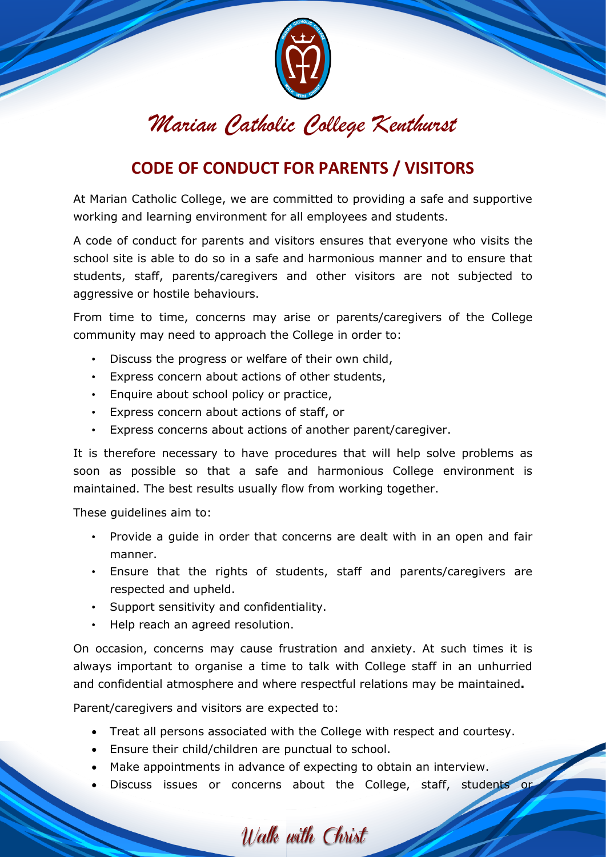

## *Marian Catholic College Kenthurst*

## **CODE OF CONDUCT FOR PARENTS / VISITORS**

At Marian Catholic College, we are committed to providing a safe and supportive working and learning environment for all employees and students.

A code of conduct for parents and visitors ensures that everyone who visits the school site is able to do so in a safe and harmonious manner and to ensure that students, staff, parents/caregivers and other visitors are not subjected to aggressive or hostile behaviours.

From time to time, concerns may arise or parents/caregivers of the College community may need to approach the College in order to:

- Discuss the progress or welfare of their own child,
- Express concern about actions of other students,
- Enquire about school policy or practice,
- Express concern about actions of staff, or
- Express concerns about actions of another parent/caregiver.

It is therefore necessary to have procedures that will help solve problems as soon as possible so that a safe and harmonious College environment is maintained. The best results usually flow from working together.

These guidelines aim to:

- Provide a guide in order that concerns are dealt with in an open and fair manner.
- Ensure that the rights of students, staff and parents/caregivers are respected and upheld.
- Support sensitivity and confidentiality.
- Help reach an agreed resolution.

On occasion, concerns may cause frustration and anxiety. At such times it is always important to organise a time to talk with College staff in an unhurried and confidential atmosphere and where respectful relations may be maintained**.** 

Parent/caregivers and visitors are expected to:

- Treat all persons associated with the College with respect and courtesy.
- Ensure their child/children are punctual to school.
- Make appointments in advance of expecting to obtain an interview.
- Discuss issues or concerns about the College, staff, students or

Walk with Christ